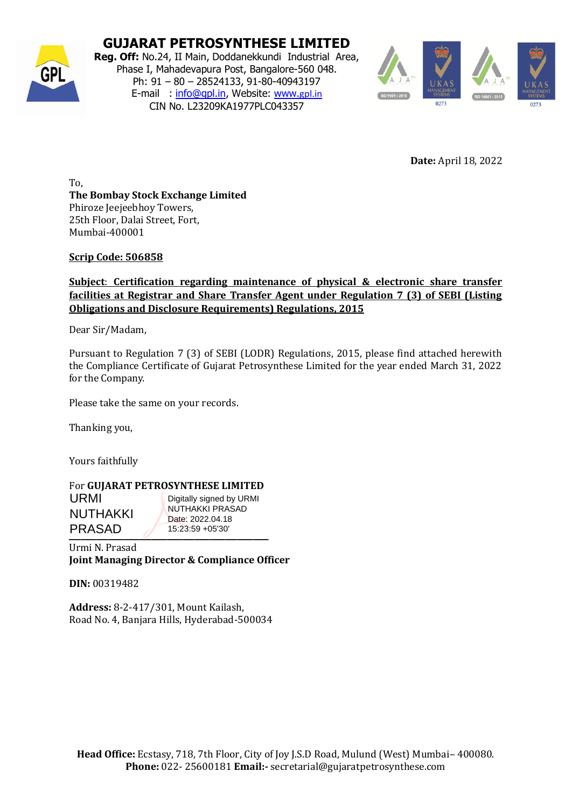

# **GUJARAT PETROSYNTHESE LIMITED**

**Reg. Off:** No.24, II Main, Doddanekkundi Industrial Area, Phase I, Mahadevapura Post, Bangalore-560 048. Ph: 91 – 80 – 28524133, 91-80-40943197 E-mail : [info@gpl.in,](mailto:info@gpl.in) Website: [www.](http://www.gpl.in/)gpl.in CIN No. L23209KA1977PLC043357



**Date:** April 18, 2022

To, **The Bombay Stock Exchange Limited** Phiroze Jeejeebhoy Towers, 25th Floor, Dalai Street, Fort, Mumbai-400001

**Scrip Code: 506858**

### **Subject**: **Certification regarding maintenance of physical & electronic share transfer facilities at Registrar and Share Transfer Agent under Regulation 7 (3) of SEBI (Listing Obligations and Disclosure Requirements) Regulations, 2015**

Dear Sir/Madam,

Pursuant to Regulation 7 (3) of SEBI (LODR) Regulations, 2015, please find attached herewith the Compliance Certificate of Gujarat Petrosynthese Limited for the year ended March 31, 2022 for the Company.

Please take the same on your records.

Thanking you,

Yours faithfully

For **GUJARAT PETROSYNTHESE LIMITED** \_\_\_\_\_\_\_\_\_\_\_\_\_\_\_\_\_\_\_\_\_\_\_\_\_\_\_\_\_\_\_\_\_\_\_\_\_\_\_\_\_\_\_\_\_\_\_\_\_\_\_ URMI **NUTHAKKI** PRASAD Digitally signed by URMI NUTHAKKI PRASAD Date: 2022.04.18 15:23:59 +05'30'

Urmi N. Prasad **Joint Managing Director & Compliance Officer** 

**DIN:** 00319482

**Address:** 8-2-417/301, Mount Kailash, Road No. 4, Banjara Hills, Hyderabad-500034